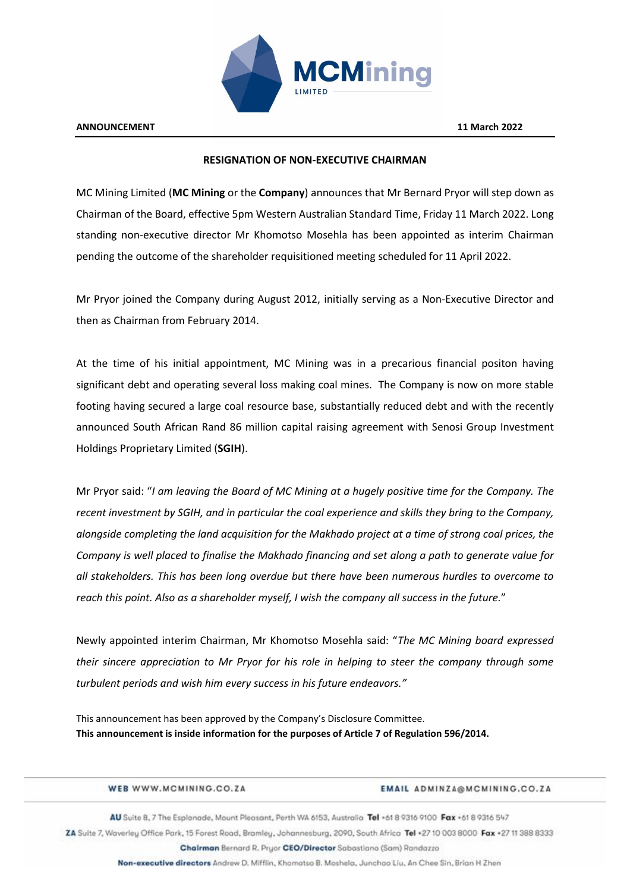

## **RESIGNATION OF NON-EXECUTIVE CHAIRMAN**

MC Mining Limited (**MC Mining** or the **Company**) announces that Mr Bernard Pryor will step down as Chairman of the Board, effective 5pm Western Australian Standard Time, Friday 11 March 2022. Long standing non-executive director Mr Khomotso Mosehla has been appointed as interim Chairman pending the outcome of the shareholder requisitioned meeting scheduled for 11 April 2022.

Mr Pryor joined the Company during August 2012, initially serving as a Non-Executive Director and then as Chairman from February 2014.

At the time of his initial appointment, MC Mining was in a precarious financial positon having significant debt and operating several loss making coal mines. The Company is now on more stable footing having secured a large coal resource base, substantially reduced debt and with the recently announced South African Rand 86 million capital raising agreement with Senosi Group Investment Holdings Proprietary Limited (**SGIH**).

Mr Pryor said: "*I am leaving the Board of MC Mining at a hugely positive time for the Company. The recent investment by SGIH, and in particular the coal experience and skills they bring to the Company, alongside completing the land acquisition for the Makhado project at a time of strong coal prices, the Company is well placed to finalise the Makhado financing and set along a path to generate value for all stakeholders. This has been long overdue but there have been numerous hurdles to overcome to reach this point. Also as a shareholder myself, I wish the company all success in the future.*"

Newly appointed interim Chairman, Mr Khomotso Mosehla said: "*The MC Mining board expressed their sincere appreciation to Mr Pryor for his role in helping to steer the company through some turbulent periods and wish him every success in his future endeavors."* 

This announcement has been approved by the Company's Disclosure Committee. **This announcement is inside information for the purposes of Article 7 of Regulation 596/2014.**

|                                                                                                              | WEB WWW.MCMINING.CO.ZA                                                                                                              | EMAIL ADMINZA@MCMINING.CO.ZA |  |
|--------------------------------------------------------------------------------------------------------------|-------------------------------------------------------------------------------------------------------------------------------------|------------------------------|--|
| AU Suite 8, 7 The Esplanade, Mount Pleasant, Perth WA 6153, Australia Tel +61 8 9316 9100 Fax +61 8 9316 547 |                                                                                                                                     |                              |  |
|                                                                                                              | ZA Suite 7, Waverley Office Park, 15 Forest Road, Bramley, Johannesburg, 2090, South Africa Tel +27 10 003 8000 Fax +27 11 388 8333 |                              |  |
|                                                                                                              | Chairman Bernard R. Pruor CEO/Director Sabastiano (Sam) Randazzo                                                                    |                              |  |

Non-executive directors Andrew D. Mifflin, Khomotso B. Moshela, Junchao Liu, An Chee Sin, Brian H Zhen